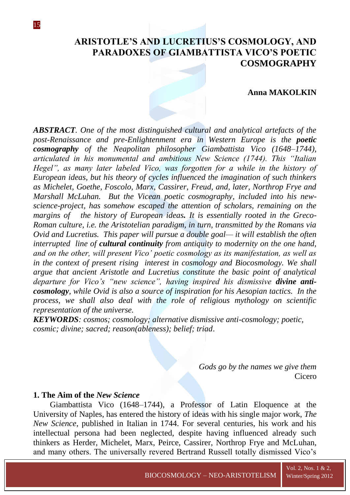# **ARISTOTLE'S AND LUCRETIUS'S COSMOLOGY, AND PARADOXES OF GIAMBATTISTA VICO'S POETIC COSMOGRAPHY**

#### **Anna MAKOLKIN**

*ABSTRACT. One of the most distinguished cultural and analytical artefacts of the post-Renaissance and pre-Enlightenment era in Western Europe is the poetic cosmography of the Neapolitan philosopher Giambattista Vico (1648*–*1744), articulated in his monumental and ambitious New Science (1744). This "Italian Hegel", as many later labeled Vico, was forgotten for a while in the history of European ideas, but his theory of cycles influenced the imagination of such thinkers as Michelet, Goethe, Foscolo, Marx, Cassirer, Freud, and, later, Northrop Frye and Marshall McLuhan. But the Vicean poetic cosmography, included into his newscience-project, has somehow escaped the attention of scholars, remaining on the margins of the history of European ideas. It is essentially rooted in the Greco-Roman culture, i.e. the Aristotelian paradigm, in turn, transmitted by the Romans via Ovid and Lucretius. This paper will pursue a double goal— it will establish the often interrupted line of cultural continuity from antiquity to modernity on the one hand, and on the other, will present Vico' poetic cosmology as its manifestation, as well as in the context of present rising interest in cosmology and Biocosmology. We shall argue that ancient Aristotle and Lucretius constitute the basic point of analytical departure for Vico's "new science", having inspired his dismissive divine anticosmology, while Ovid is also a source of inspiration for his Aesopian tactics. In the process, we shall also deal with the role of religious mythology on scientific representation of the universe.* 

*KEYWORDS: cosmos; cosmology; alternative dismissive anti-cosmology; poetic, cosmic; divine; sacred; reason(ableness); belief; triad*.

> *Gods go by the names we give them* Cicero

### **1. The Aim of the** *New Science*

Giambattista Vico (1648–1744), a Professor of Latin Eloquence at the University of Naples, has entered the history of ideas with his single major work, *The New Science*, published in Italian in 1744. For several centuries, his work and his intellectual persona had been neglected, despite having influenced already such thinkers as Herder, Michelet, Marx, Peirce, Cassirer, Northrop Frye and McLuhan, and many others. The universally revered Bertrand Russell totally dismissed Vico's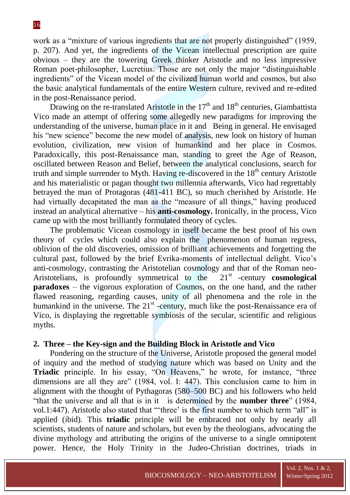work as a "mixture of various ingredients that are not properly distinguished" (1959, p. 207). And yet, the ingredients of the Vicean intellectual prescription are quite obvious – they are the towering Greek thinker Aristotle and no less impressive Roman poet-philosopher, Lucretius. Those are not only the major "distinguishable ingredients" of the Vicean model of the civilized human world and cosmos, but also the basic analytical fundamentals of the entire Western culture, revived and re-edited in the post-Renaissance period.

Drawing on the re-translated Aristotle in the  $17<sup>th</sup>$  and  $18<sup>th</sup>$  centuries, Giambattista Vico made an attempt of offering some allegedly new paradigms for improving the understanding of the universe, human place in it and Being in general. He envisaged his "new science" become the new model of analysis, new look on history of human evolution, civilization, new vision of humankind and her place in Cosmos. Paradoxically, this post-Renaissance man, standing to greet the Age of Reason, oscillated between Reason and Belief, between the analytical conclusions, search for truth and simple surrender to Myth. Having re-discovered in the  $18<sup>th</sup>$  century Aristotle and his materialistic or pagan thought two millennia afterwards, Vico had regrettably betrayed the man of Protagoras (481-411 BC), so much cherished by Aristotle. He had virtually decapitated the man as the "measure of all things," having produced instead an analytical alternative – his **anti-cosmology.** Ironically, in the process, Vico came up with the most brilliantly formulated theory of cycles.

The problematic Vicean cosmology in itself became the best proof of his own theory of cycles which could also explain the phenomenon of human regress, oblivion of the old discoveries, omission of brilliant achievements and forgetting the cultural past, followed by the brief Evrika-moments of intellectual delight. Vico's anti-cosmology, contrasting the Aristotelian cosmology and that of the Roman neo-Aristotelians, is profoundly symmetrical to the -century **cosmological paradoxes** – the vigorous exploration of Cosmos, on the one hand, and the rather flawed reasoning, regarding causes, unity of all phenomena and the role in the humankind in the universe. The  $21<sup>st</sup>$  -century, much like the post-Renaissance era of Vico, is displaying the regrettable symbiosis of the secular, scientific and religious myths.

## **2. Three – the Key-sign and the Building Block in Aristotle and Vico**

Pondering on the structure of the Universe, Aristotle proposed the general model of inquiry and the method of studying nature which was based on Unity and the **Triadic** principle. In his essay, "On Heavens," he wrote, for instance, "three dimensions are all they are"  $(1984, vol. I: 447)$ . This conclusion came to him in alignment with the thought of Pythagoras (580–500 BC) and his followers who held ―that the universe and all that is in it is determined by the **number three**‖ (1984, vol.1:447). Aristotle also stated that ""three" is the first number to which term "all" is applied (ibid). This **triadic** principle will be embraced not only by nearly all scientists, students of nature and scholars, but even by the theologians, advocating the divine mythology and attributing the origins of the universe to a single omnipotent power. Hence, the Holy Trinity in the Judeo-Christian doctrines, triads in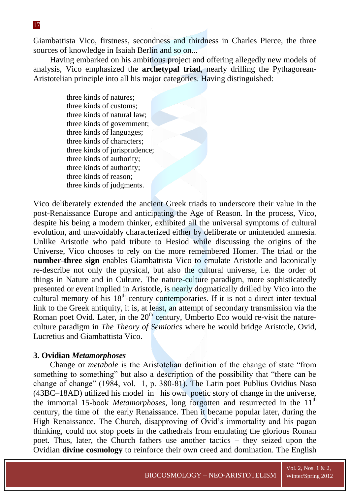Giambattista Vico, firstness, secondness and thirdness in Charles Pierce, the three sources of knowledge in Isaiah Berlin and so on...

Having embarked on his ambitious project and offering allegedly new models of analysis, Vico emphasized the **archetypal triad**, nearly drilling the Pythagorean-Aristotelian principle into all his major categories. Having distinguished:

> three kinds of natures; three kinds of customs; three kinds of natural law; three kinds of government; three kinds of languages; three kinds of characters; three kinds of jurisprudence; three kinds of authority; three kinds of authority; three kinds of reason; three kinds of judgments.

Vico deliberately extended the ancient Greek triads to underscore their value in the post-Renaissance Europe and anticipating the Age of Reason. In the process, Vico, despite his being a modern thinker, exhibited all the universal symptoms of cultural evolution, and unavoidably characterized either by deliberate or unintended amnesia. Unlike Aristotle who paid tribute to Hesiod while discussing the origins of the Universe, Vico chooses to rely on the more remembered Homer. The triad or the **number-three sign** enables Giambattista Vico to emulate Aristotle and laconically re-describe not only the physical, but also the cultural universe, i.e. the order of things in Nature and in Culture. The nature-culture paradigm, more sophisticatedly presented or event implied in Aristotle, is nearly dogmatically drilled by Vico into the cultural memory of his 18<sup>th</sup>-century contemporaries. If it is not a direct inter-textual link to the Greek antiquity, it is, at least, an attempt of secondary transmission via the Roman poet Ovid. Later, in the  $20<sup>th</sup>$  century, Umberto Eco would re-visit the natureculture paradigm in *The Theory of Semiotics* where he would bridge Aristotle, Ovid, Lucretius and Giambattista Vico.

#### **3. Ovidian** *Metamorphoses*

Change or *metabole* is the Aristotelian definition of the change of state "from something to something" but also a description of the possibility that "there can be change of change" (1984, vol. 1, p. 380-81). The Latin poet Publius Ovidius Naso (43BC–18AD) utilized his model in his own poetic story of change in the universe, the immortal 15-book *Metamorphoses*, long forgotten and resurrected in the 11<sup>th</sup> century, the time of the early Renaissance. Then it became popular later, during the High Renaissance. The Church, disapproving of Ovid's immortality and his pagan thinking, could not stop poets in the cathedrals from emulating the glorious Roman poet. Thus, later, the Church fathers use another tactics – they seized upon the Ovidian **divine cosmology** to reinforce their own creed and domination. The English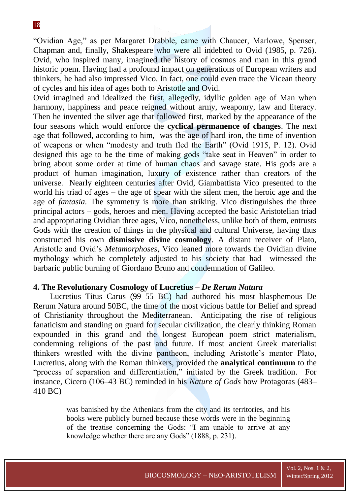―Ovidian Age,‖ as per Margaret Drabble, came with Chaucer, Marlowe, Spenser, Chapman and, finally, Shakespeare who were all indebted to Ovid (1985, p. 726). Ovid, who inspired many, imagined the history of cosmos and man in this grand historic poem. Having had a profound impact on generations of European writers and thinkers, he had also impressed Vico. In fact, one could even trace the Vicean theory of cycles and his idea of ages both to Aristotle and Ovid.

Ovid imagined and idealized the first, allegedly, idyllic golden age of Man when harmony, happiness and peace reigned without army, weaponry, law and literacy. Then he invented the silver age that followed first, marked by the appearance of the four seasons which would enforce the **cyclical permanence of changes**. The next age that followed, according to him, was the age of hard iron, the time of invention of weapons or when "modesty and truth fled the Earth" (Ovid 1915, P. 12). Ovid designed this age to be the time of making gods "take seat in Heaven" in order to bring about some order at time of human chaos and savage state. His gods are a product of human imagination, luxury of existence rather than creators of the universe. Nearly eighteen centuries after Ovid, Giambattista Vico presented to the world his triad of ages – the age of spear with the silent men, the heroic age and the age of *fantasia.* The symmetry is more than striking. Vico distinguishes the three principal actors – gods, heroes and men. Having accepted the basic Aristotelian triad and appropriating Ovidian three ages, Vico, nonetheless, unlike both of them, entrusts Gods with the creation of things in the physical and cultural Universe, having thus constructed his own **dismissive divine cosmology**. A distant receiver of Plato, Aristotle and Ovid's *Metamorphoses*, Vico leaned more towards the Ovidian divine mythology which he completely adjusted to his society that had witnessed the barbaric public burning of Giordano Bruno and condemnation of Galileo.

## **4. The Revolutionary Cosmology of Lucretius –** *De Rerum Natura*

Lucretius Titus Carus (99–55 BC) had authored his most blasphemous De Rerum Natura around 50BC, the time of the most vicious battle for Belief and spread of Christianity throughout the Mediterranean. Anticipating the rise of religious fanaticism and standing on guard for secular civilization, the clearly thinking Roman expounded in this grand and the longest European poem strict materialism, condemning religions of the past and future. If most ancient Greek materialist thinkers wrestled with the divine pantheon, including Aristotle's mentor Plato, Lucretius, along with the Roman thinkers, provided the **analytical continuum** to the "process of separation and differentiation," initiated by the Greek tradition. For instance, Cicero (106–43 BC) reminded in his *Nature of Gods* how Protagoras (483– 410 BC)

> was banished by the Athenians from the city and its territories, and his books were publicly burned because these words were in the beginning of the treatise concerning the Gods: "I am unable to arrive at any knowledge whether there are any Gods" (1888, p. 231).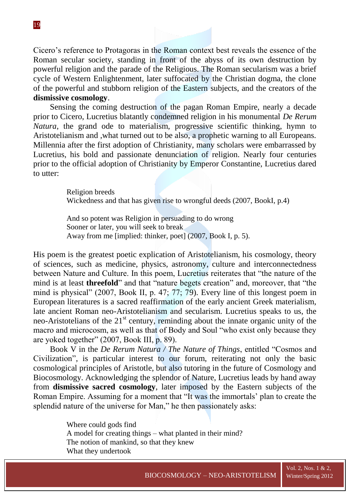Cicero's reference to Protagoras in the Roman context best reveals the essence of the Roman secular society, standing in front of the abyss of its own destruction by powerful religion and the parade of the Religious. The Roman secularism was a brief cycle of Western Enlightenment, later suffocated by the Christian dogma, the clone of the powerful and stubborn religion of the Eastern subjects, and the creators of the **dismissive cosmology**.

Sensing the coming destruction of the pagan Roman Empire, nearly a decade prior to Cicero, Lucretius blatantly condemned religion in his monumental *De Rerum Natura*, the grand ode to materialism, progressive scientific thinking, hymn to Aristotelianism and ,what turned out to be also, a prophetic warning to all Europeans. Millennia after the first adoption of Christianity, many scholars were embarrassed by Lucretius, his bold and passionate denunciation of religion. Nearly four centuries prior to the official adoption of Christianity by Emperor Constantine, Lucretius dared to utter:

> Religion breeds Wickedness and that has given rise to wrongful deeds (2007, BookI, p.4)

And so potent was Religion in persuading to do wrong Sooner or later, you will seek to break Away from me [implied: thinker, poet] (2007, Book I, p. 5).

His poem is the greatest poetic explication of Aristotelianism, his cosmology, theory of sciences, such as medicine, physics, astronomy, culture and interconnectedness between Nature and Culture. In this poem, Lucretius reiterates that "the nature of the mind is at least **threefold**" and that "nature begets creation" and, moreover, that "the mind is physical" (2007, Book II, p. 47; 77; 79). Every line of this longest poem in European literatures is a sacred reaffirmation of the early ancient Greek materialism, late ancient Roman neo-Aristotelianism and secularism. Lucretius speaks to us, the neo-Aristotelians of the  $21<sup>st</sup>$  century, reminding about the innate organic unity of the macro and microcosm, as well as that of Body and Soul "who exist only because they are yoked together" (2007, Book III, p. 89).

Book V in the *De Rerum Natura / The Nature of Things*, entitled "Cosmos and Civilization", is particular interest to our forum, reiterating not only the basic cosmological principles of Aristotle, but also tutoring in the future of Cosmology and Biocosmology. Acknowledging the splendor of Nature, Lucretius leads by hand away from **dismissive sacred cosmology**, later imposed by the Eastern subjects of the Roman Empire. Assuming for a moment that "It was the immortals' plan to create the splendid nature of the universe for Man," he then passionately asks:

> Where could gods find A model for creating things – what planted in their mind? The notion of mankind, so that they knew What they undertook

Vol. 2, Nos. 1 & 2,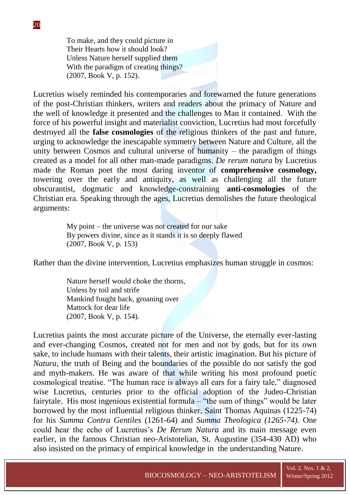To make, and they could picture in Their Hearts how it should look? Unless Nature herself supplied them With the paradigm of creating things? (2007, Book V, p. 152).

Lucretius wisely reminded his contemporaries and forewarned the future generations of the post-Christian thinkers, writers and readers about the primacy of Nature and the well of knowledge it presented and the challenges to Man it contained. With the force of his powerful insight and materialist conviction, Lucretius had most forcefully destroyed all the **false cosmologies** of the religious thinkers of the past and future, urging to acknowledge the inescapable symmetry between Nature and Culture, all the unity between Cosmos and cultural universe of humanity – the paradigm of things created as a model for all other man-made paradigms. *De rerum natura* by Lucretius made the Roman poet the most daring inventor of **comprehensive cosmology,**  towering over the early and antiquity, as well as challenging all the future obscurantist, dogmatic and knowledge-constraining **anti-cosmologies** of the Christian era. Speaking through the ages, Lucretius demolishes the future theological arguments:

> My point – the universe was not created for our sake By powers divine, since as it stands it is so deeply flawed (2007, Book V, p. 153)

Rather than the divine intervention, Lucretius emphasizes human struggle in cosmos:

Nature herself would choke the thorns, Unless by toil and strife Mankind fought back, groaning over Mattock for dear life (2007, Book V, p. 154).

Lucretius paints the most accurate picture of the Universe, the eternally ever-lasting and ever-changing Cosmos, created not for men and not by gods, but for its own sake, to include humans with their talents, their artistic imagination. But his picture of *Natura*, the truth of Being and the boundaries of the possible do not satisfy the god and myth-makers. He was aware of that while writing his most profound poetic cosmological treatise. "The human race is always all ears for a fairy tale," diagnosed wise Lucretius, centuries prior to the official adoption of the Judeo-Christian fairytale. His most ingenious existential formula – "the sum of things" would be later borrowed by the most influential religious thinker, Saint Thomas Aquinas (1225-74) for his *Summa Contra Gentiles* (1261-64) and *Summa Theologica (1265-74).* One could hear the echo of Lucretius's *De Rerum Natura* and its main message even earlier, in the famous Christian neo-Aristotelian, St. Augustine (354-430 AD) who also insisted on the primacy of empirical knowledge in the understanding Nature.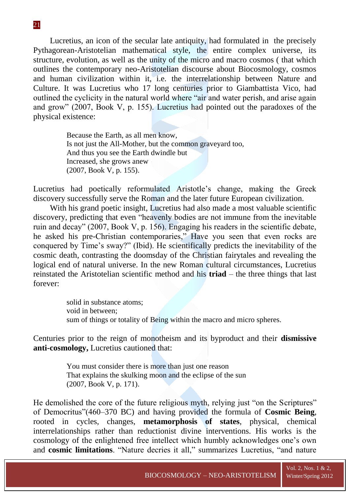Lucretius, an icon of the secular late antiquity, had formulated in the precisely Pythagorean-Aristotelian mathematical style, the entire complex universe, its structure, evolution, as well as the unity of the micro and macro cosmos ( that which outlines the contemporary neo-Aristotelian discourse about Biocosmology, cosmos and human civilization within it, i.e. the interrelationship between Nature and Culture. It was Lucretius who 17 long centuries prior to Giambattista Vico, had outlined the cyclicity in the natural world where "air and water perish, and arise again and grow" (2007, Book V, p. 155). Lucretius had pointed out the paradoxes of the physical existence:

> Because the Earth, as all men know, Is not just the All-Mother, but the common graveyard too, And thus you see the Earth dwindle but Increased, she grows anew (2007, Book V, p. 155).

Lucretius had poetically reformulated Aristotle's change, making the Greek discovery successfully serve the Roman and the later future European civilization.

With his grand poetic insight, Lucretius had also made a most valuable scientific discovery, predicting that even "heavenly bodies are not immune from the inevitable ruin and decay" (2007, Book V, p. 156). Engaging his readers in the scientific debate, he asked his pre-Christian contemporaries," Have you seen that even rocks are conquered by Time's sway?" (Ibid). He scientifically predicts the inevitability of the cosmic death, contrasting the doomsday of the Christian fairytales and revealing the logical end of natural universe. In the new Roman cultural circumstances, Lucretius reinstated the Aristotelian scientific method and his **triad** – the three things that last forever:

> solid in substance atoms; void in between; sum of things or totality of Being within the macro and micro spheres.

Centuries prior to the reign of monotheism and its byproduct and their **dismissive anti-cosmology,** Lucretius cautioned that:

> You must consider there is more than just one reason That explains the skulking moon and the eclipse of the sun (2007, Book V, p. 171).

He demolished the core of the future religious myth, relying just "on the Scriptures" of Democritus‖(460–370 BC) and having provided the formula of **Cosmic Being**, rooted in cycles, changes, **metamorphosis of states**, physical, chemical interrelationships rather than reductionist divine interventions. His works is the cosmology of the enlightened free intellect which humbly acknowledges one's own and **cosmic limitations**. "Nature decries it all," summarizes Lucretius, "and nature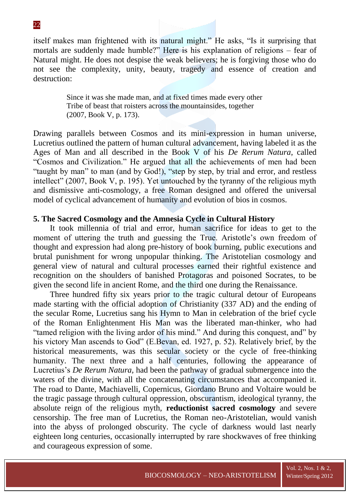itself makes man frightened with its natural might." He asks, "Is it surprising that mortals are suddenly made humble?" Here is his explanation of religions – fear of Natural might. He does not despise the weak believers; he is forgiving those who do not see the complexity, unity, beauty, tragedy and essence of creation and destruction:

> Since it was she made man, and at fixed times made every other Tribe of beast that roisters across the mountainsides, together (2007, Book V, p. 173).

Drawing parallels between Cosmos and its mini-expression in human universe, Lucretius outlined the pattern of human cultural advancement, having labeled it as the Ages of Man and all described in the Book V of his *De Rerum Natura*, called ―Cosmos and Civilization.‖ He argued that all the achievements of men had been "taught by man" to man (and by God!), "step by step, by trial and error, and restless intellect" (2007, Book V, p. 195). Yet untouched by the tyranny of the religious myth and dismissive anti-cosmology, a free Roman designed and offered the universal model of cyclical advancement of humanity and evolution of bios in cosmos.

#### **5. The Sacred Cosmology and the Amnesia Cycle in Cultural History**

It took millennia of trial and error, human sacrifice for ideas to get to the moment of uttering the truth and guessing the True. Aristotle's own freedom of thought and expression had along pre-history of book burning, public executions and brutal punishment for wrong unpopular thinking. The Aristotelian cosmology and general view of natural and cultural processes earned their rightful existence and recognition on the shoulders of banished Protagoras and poisoned Socrates, to be given the second life in ancient Rome, and the third one during the Renaissance.

Three hundred fifty six years prior to the tragic cultural detour of Europeans made starting with the official adoption of Christianity (337 AD) and the ending of the secular Rome, Lucretius sang his Hymn to Man in celebration of the brief cycle of the Roman Enlightenment His Man was the liberated man-thinker, who had "tamed religion with the living ardor of his mind." And during this conquest, and" by his victory Man ascends to God" (E.Bevan, ed. 1927, p. 52). Relatively brief, by the historical measurements, was this secular society or the cycle of free-thinking humanity. The next three and a half centuries, following the appearance of Lucretius's *De Rerum Natura,* had been the pathway of gradual submergence into the waters of the divine, with all the concatenating circumstances that accompanied it. The road to Dante, Machiavelli, Copernicus, Giordano Bruno and Voltaire would be the tragic passage through cultural oppression, obscurantism, ideological tyranny, the absolute reign of the religious myth, **reductionist sacred cosmology** and severe censorship. The free man of Lucretius, the Roman neo-Aristotelian, would vanish into the abyss of prolonged obscurity. The cycle of darkness would last nearly eighteen long centuries, occasionally interrupted by rare shockwaves of free thinking and courageous expression of some.

22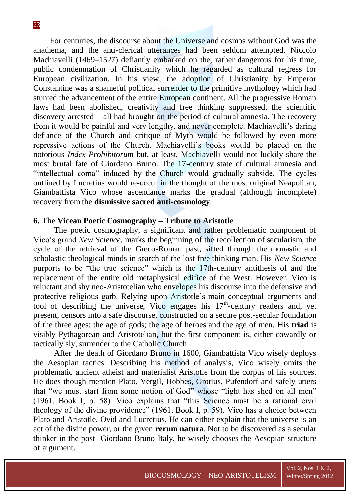For centuries, the discourse about the Universe and cosmos without God was the anathema, and the anti-clerical utterances had been seldom attempted. Niccolo Machiavelli (1469–1527) defiantly embarked on the, rather dangerous for his time, public condemnation of Christianity which he regarded as cultural regress for European civilization. In his view, the adoption of Christianity by Emperor Constantine was a shameful political surrender to the primitive mythology which had stunted the advancement of the entire European continent. All the progressive Roman laws had been abolished, creativity and free thinking suppressed, the scientific discovery arrested – all had brought on the period of cultural amnesia. The recovery from it would be painful and very lengthy, and never complete. Machiavelli's daring defiance of the Church and critique of Myth would be followed by even more repressive actions of the Church. Machiavelli's books would be placed on the notorious *Index Prohibitorum* but, at least, Machiavelli would not luckily share the most brutal fate of Giordano Bruno. The 17-century state of cultural amnesia and "intellectual coma" induced by the Church would gradually subside. The cycles outlined by Lucretius would re-occur in the thought of the most original Neapolitan, Giambattista Vico whose ascendance marks the gradual (although incomplete) recovery from the **dismissive sacred anti-cosmology**.

#### **6. The Vicean Poetic Cosmography – Tribute to Aristotle**

 The poetic cosmography, a significant and rather problematic component of Vico's grand *New Science,* marks the beginning of the recollection of secularism, the cycle of the retrieval of the Greco-Roman past, sifted through the monastic and scholastic theological minds in search of the lost free thinking man. His *New Science* purports to be "the true science" which is the 17th-century antithesis of and the replacement of the entire old metaphysical edifice of the West. However, Vico is reluctant and shy neo-Aristotelian who envelopes his discourse into the defensive and protective religious garb. Relying upon Aristotle's main conceptual arguments and tool of describing the universe, Vico engages his  $17<sup>th</sup>$ -century readers and, yet present, censors into a safe discourse, constructed on a secure post-secular foundation of the three ages: the age of gods; the age of heroes and the age of men. His **triad** is visibly Pythagorean and Aristotelian, but the first component is, either cowardly or tactically sly, surrender to the Catholic Church.

 After the death of Giordano Bruno in 1600, Giambattista Vico wisely deploys the Aesopian tactics. Describing his method of analysis, Vico wisely omits the problematic ancient atheist and materialist Aristotle from the corpus of his sources. He does though mention Plato, Vergil, Hobbes, Grotius, Pufendorf and safely utters that "we must start from some notion of God" whose "light has shed on all men"  $(1961, Book I, p. 58)$ . Vico explains that "this Science must be a rational civil theology of the divine providence"  $(1961, Book I, p. 59)$ . Vico has a choice between Plato and Aristotle, Ovid and Lucretius. He can either explain that the universe is an act of the divine power, or the given **rerum natura**. Not to be discovered as a secular thinker in the post- Giordano Bruno-Italy, he wisely chooses the Aesopian structure of argument.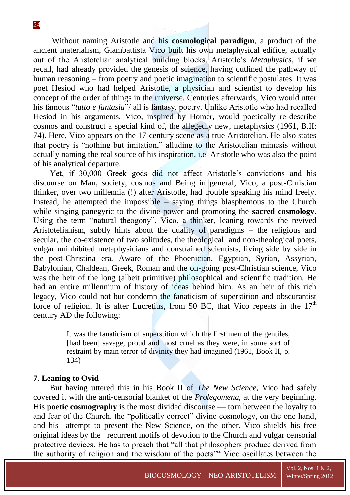Without naming Aristotle and his **cosmological paradigm**, a product of the ancient materialism, Giambattista Vico built his own metaphysical edifice, actually out of the Aristotelian analytical building blocks. Aristotle's *Metaphysics,* if we recall*,* had already provided the genesis of science, having outlined the pathway of human reasoning – from poetry and poetic imagination to scientific postulates. It was poet Hesiod who had helped Aristotle, a physician and scientist to develop his concept of the order of things in the universe. Centuries afterwards, Vico would utter his famous "*tutto e fantasia*"/ all is fantasy, poetry. Unlike Aristotle who had recalled Hesiod in his arguments, Vico, inspired by Homer, would poetically re-describe cosmos and construct a special kind of, the allegedly new, metaphysics (1961, B.II: 74). Here, Vico appears on the 17-century scene as a true Aristotelian. He also states that poetry is "nothing but imitation," alluding to the Aristotelian mimesis without actually naming the real source of his inspiration, i.e. Aristotle who was also the point of his analytical departure.

Yet, if 30,000 Greek gods did not affect Aristotle's convictions and his discourse on Man, society, cosmos and Being in general, Vico, a post-Christian thinker, over two millennia (!) after Aristotle, had trouble speaking his mind freely. Instead, he attempted the impossible – saying things blasphemous to the Church while singing panegyric to the divine power and promoting the **sacred cosmology**. Using the term "natural theogony", Vico, a thinker, leaning towards the revived Aristotelianism, subtly hints about the duality of paradigms – the religious and secular, the co-existence of two solitudes, the theological and non-theological poets, vulgar uninhibited metaphysicians and constrained scientists, living side by side in the post-Christina era. Aware of the Phoenician, Egyptian, Syrian, Assyrian, Babylonian, Chaldean, Greek, Roman and the on-going post-Christian science, Vico was the heir of the long (albeit primitive) philosophical and scientific tradition. He had an entire millennium of history of ideas behind him. As an heir of this rich legacy, Vico could not but condemn the fanaticism of superstition and obscurantist force of religion. It is after Lucretius, from 50 BC, that Vico repeats in the  $17<sup>th</sup>$ century AD the following:

> It was the fanaticism of superstition which the first men of the gentiles, [had been] savage, proud and most cruel as they were, in some sort of restraint by main terror of divinity they had imagined (1961, Book II, p. 134)

## **7. Leaning to Ovid**

But having uttered this in his Book II of *The New Science*, Vico had safely covered it with the anti-censorial blanket of the *Prolegomena*, at the very beginning. His **poetic cosmography** is the most divided discourse — torn between the loyalty to and fear of the Church, the "politically correct" divine cosmology, on the one hand, and his attempt to present the New Science, on the other. Vico shields his free original ideas by the recurrent motifs of devotion to the Church and vulgar censorial protective devices. He has to preach that "all that philosophers produce derived from the authority of religion and the wisdom of the poets" Vico oscillates between the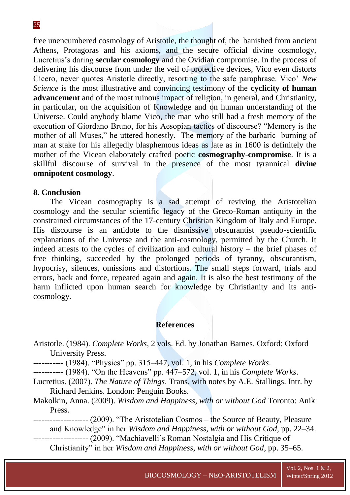free unencumbered cosmology of Aristotle, the thought of, the banished from ancient Athens, Protagoras and his axioms, and the secure official divine cosmology, Lucretius's daring **secular cosmology** and the Ovidian compromise. In the process of delivering his discourse from under the veil of protective devices, Vico even distorts Cicero, never quotes Aristotle directly, resorting to the safe paraphrase. Vico' *New Science* is the most illustrative and convincing testimony of the **cyclicity of human advancement** and of the most ruinous impact of religion, in general, and Christianity, in particular, on the acquisition of Knowledge and on human understanding of the Universe. Could anybody blame Vico, the man who still had a fresh memory of the execution of Giordano Bruno, for his Aesopian tactics of discourse? "Memory is the mother of all Muses," he uttered honestly. The memory of the barbaric burning of man at stake for his allegedly blasphemous ideas as late as in 1600 is definitely the mother of the Vicean elaborately crafted poetic **cosmography-compromise**. It is a skillful discourse of survival in the presence of the most tyrannical **divine omnipotent cosmology**.

## **8. Conclusion**

The Vicean cosmography is a sad attempt of reviving the Aristotelian cosmology and the secular scientific legacy of the Greco-Roman antiquity in the constrained circumstances of the 17-century Christian Kingdom of Italy and Europe. His discourse is an antidote to the dismissive obscurantist pseudo-scientific explanations of the Universe and the anti-cosmology, permitted by the Church. It indeed attests to the cycles of civilization and cultural history – the brief phases of free thinking, succeeded by the prolonged periods of tyranny, obscurantism, hypocrisy, silences, omissions and distortions. The small steps forward, trials and errors, back and force, repeated again and again. It is also the best testimony of the harm inflicted upon human search for knowledge by Christianity and its anticosmology.

#### **References**

Aristotle. (1984). *Complete Works*, 2 vols. Ed. by Jonathan Barnes. Oxford: Oxford University Press.

---------- (1984). "Physics" pp. 315–447, vol. 1, in his *Complete Works*.

----------- (1984). "On the Heavens" pp. 447–572, vol. 1, in his *Complete Works*.

- Lucretius. (2007). *The Nature of Things*. Trans. with notes by A.E. Stallings. Intr. by Richard Jenkins. London: Penguin Books.
- Makolkin, Anna. (2009). *Wisdom and Happiness, with or without God* Toronto: Anik Press.

-------------------- (2009). "The Aristotelian Cosmos – the Source of Beauty, Pleasure and Knowledge" in her *Wisdom and Happiness, with or without God*, pp. 22–34. -------------------- (2009). "Machiavelli's Roman Nostalgia and His Critique of

Christianity" in her *Wisdom and Happiness, with or without God*, pp. 35–65.